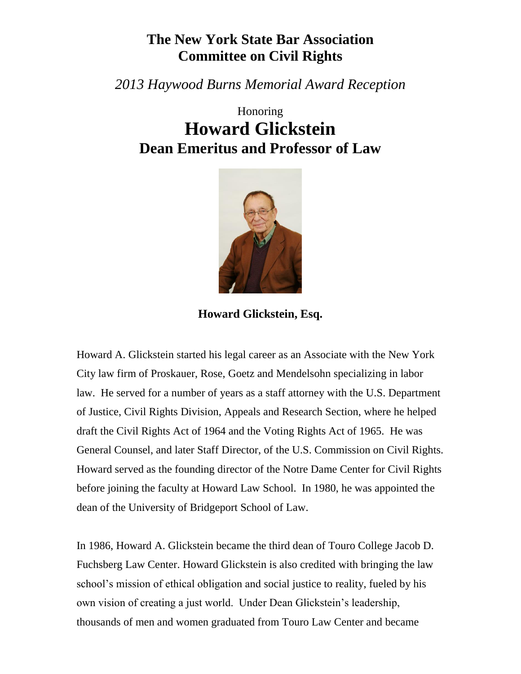## **The New York State Bar Association Committee on Civil Rights**

*2013 Haywood Burns Memorial Award Reception*

## Honoring **Howard Glickstein Dean Emeritus and Professor of Law**



**Howard Glickstein, Esq.**

Howard A. Glickstein started his legal career as an Associate with the New York City law firm of Proskauer, Rose, Goetz and Mendelsohn specializing in labor law. He served for a number of years as a staff attorney with the U.S. Department of Justice, Civil Rights Division, Appeals and Research Section, where he helped draft the Civil Rights Act of 1964 and the Voting Rights Act of 1965. He was General Counsel, and later Staff Director, of the U.S. Commission on Civil Rights. Howard served as the founding director of the Notre Dame Center for Civil Rights before joining the faculty at Howard Law School. In 1980, he was appointed the dean of the University of Bridgeport School of Law.

In 1986, Howard A. Glickstein became the third dean of Touro College Jacob D. Fuchsberg Law Center. Howard Glickstein is also credited with bringing the law school's mission of ethical obligation and social justice to reality, fueled by his own vision of creating a just world. Under Dean Glickstein's leadership, thousands of men and women graduated from Touro Law Center and became